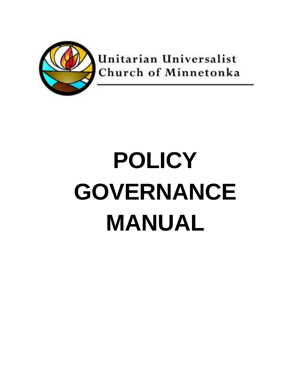

Unitarian Universalist Church of Minnetonka

# **POLICY GOVERNANCE MANUAL**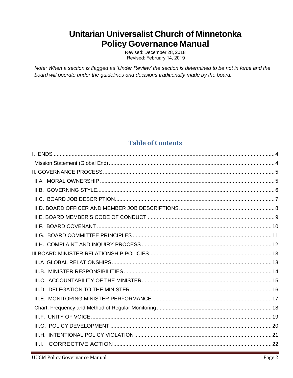# Unitarian Universalist Church of Minnetonka **Policy Governance Manual**

Revised: December 28, 2018 Revised: February 14, 2019

Note: When a section is flagged as 'Under Review' the section is determined to be not in force and the board will operate under the guidelines and decisions traditionally made by the board.

# **Table of Contents**

| III.L. |  |
|--------|--|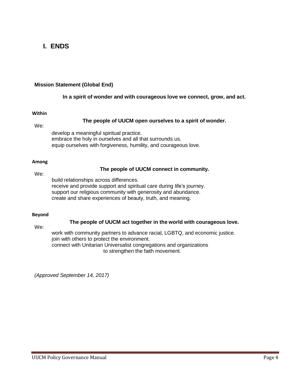# <span id="page-3-0"></span>**I. ENDS**

#### <span id="page-3-1"></span>**Mission Statement (Global End)**

#### **In a spirit of wonder and with courageous love we connect, grow, and act.**

#### **Within**

#### **The people of UUCM open ourselves to a spirit of wonder.**

We:

develop a meaningful spiritual practice. embrace the holy in ourselves and all that surrounds us. equip ourselves with forgiveness, humility, and courageous love.

#### **Among**

#### **The people of UUCM connect in community.**

We:

build relationships across differences. receive and provide support and spiritual care during life's journey. support our religious community with generosity and abundance. create and share experiences of beauty, truth, and meaning.

#### **Beyond**

#### **The people of UUCM act together in the world with courageous love.**

We:

work with community partners to advance racial, LGBTQ, and economic justice. join with others to protect the environment. connect with Unitarian Universalist congregations and organizations to strengthen the faith movement.

*(Approved September 14, 2017)*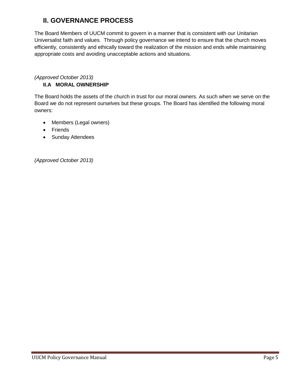# <span id="page-4-0"></span>**II. GOVERNANCE PROCESS**

The Board Members of UUCM commit to govern in a manner that is consistent with our Unitarian Universalist faith and values. Through policy governance we intend to ensure that the church moves efficiently, consistently and ethically toward the realization of the mission and ends while maintaining appropriate costs and avoiding unacceptable actions and situations.

# <span id="page-4-1"></span>*(Approved October 2013)*

# **II.A MORAL OWNERSHIP**

The Board holds the assets of the church in trust for our moral owners. As such when we serve on the Board we do not represent ourselves but these groups. The Board has identified the following moral owners:

- Members (Legal owners)
- Friends
- Sunday Attendees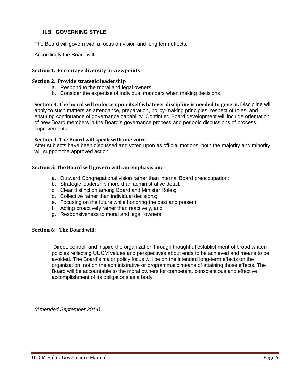#### <span id="page-5-0"></span>**II.B. GOVERNING STYLE**

The Board will govern with a focus on vision and long term effects.

Accordingly the Board will:

#### **Section 1. Encourage diversity in viewpoints**

#### **Section 2. Provide strategic leadership**

- a. Respond to the moral and legal owners.
- b. Consider the expertise of individual members when making decisions.

**Section 3. The board will enforce upon itself whatever discipline is needed to govern.** Discipline will apply to such matters as attendance, preparation, policy-making principles, respect of roles, and ensuring continuance of governance capability. Continued Board development will include orientation of new Board members in the Board's governance process and periodic discussions of process improvements.

#### **Section 4. The Board will speak with one voice.**

After subjects have been discussed and voted upon as official motions, both the majority and minority will support the approved action.

#### **Section 5: The Board will govern with an emphasis on:**

- a. Outward Congregational vision rather than internal Board preoccupation;
- b. Strategic leadership more than administrative detail;
- c. Clear distinction among Board and Minister Roles;
- d. Collective rather than individual decisions;
- e. Focusing on the future while honoring the past and present;
- f. Acting proactively rather than reactively, and
- g. Responsiveness to moral and legal owners.

#### **Section 6: The Board will:**

Direct, control, and inspire the organization through thoughtful establishment of broad written policies reflecting UUCM values and perspectives about ends to be achieved and means to be avoided. The Board's major policy focus will be on the intended long-term effects on the organization, not on the administrative or programmatic means of attaining those effects. The Board will be accountable to the moral owners for competent, conscientious and effective accomplishment of its obligations as a body.

*(Amended September 2014)*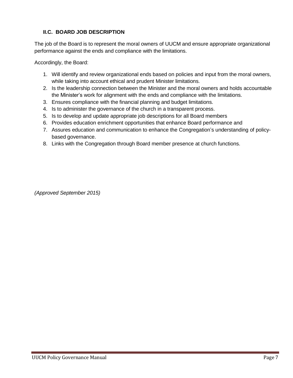## <span id="page-6-0"></span>**II.C. BOARD JOB DESCRIPTION**

The job of the Board is to represent the moral owners of UUCM and ensure appropriate organizational performance against the ends and compliance with the limitations.

Accordingly, the Board:

- 1. Will identify and review organizational ends based on policies and input from the moral owners, while taking into account ethical and prudent Minister limitations.
- 2. Is the leadership connection between the Minister and the moral owners and holds accountable the Minister's work for alignment with the ends and compliance with the limitations.
- 3. Ensures compliance with the financial planning and budget limitations.
- 4. Is to administer the governance of the church in a transparent process.
- 5. Is to develop and update appropriate job descriptions for all Board members
- 6. Provides education enrichment opportunities that enhance Board performance and
- 7. Assures education and communication to enhance the Congregation's understanding of policybased governance.
- 8. Links with the Congregation through Board member presence at church functions.

*(Approved September 2015)*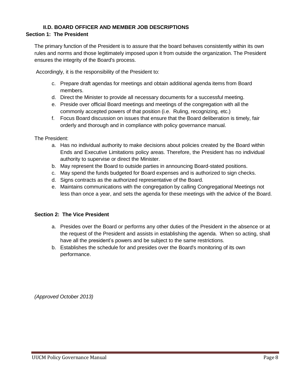#### <span id="page-7-0"></span>**II.D. BOARD OFFICER AND MEMBER JOB DESCRIPTIONS Section 1: The President**

## The primary function of the President is to assure that the board behaves consistently within its own rules and norms and those legitimately imposed upon it from outside the organization. The President ensures the integrity of the Board's process.

Accordingly, it is the responsibility of the President to:

- c. Prepare draft agendas for meetings and obtain additional agenda items from Board members.
- d. Direct the Minister to provide all necessary documents for a successful meeting.
- e. Preside over official Board meetings and meetings of the congregation with all the commonly accepted powers of that position (i.e. Ruling, recognizing, etc.)
- f. Focus Board discussion on issues that ensure that the Board deliberation is timely, fair orderly and thorough and in compliance with policy governance manual.

The President:

- a. Has no individual authority to make decisions about policies created by the Board within Ends and Executive Limitations policy areas. Therefore, the President has no individual authority to supervise or direct the Minister.
- b. May represent the Board to outside parties in announcing Board-stated positions.
- c. May spend the funds budgeted for Board expenses and is authorized to sign checks.
- d. Signs contracts as the authorized representative of the Board.
- e. Maintains communications with the congregation by calling Congregational Meetings not less than once a year, and sets the agenda for these meetings with the advice of the Board.

#### **Section 2: The Vice President**

- a. Presides over the Board or performs any other duties of the President in the absence or at the request of the President and assists in establishing the agenda. When so acting, shall have all the president's powers and be subject to the same restrictions.
- b. Establishes the schedule for and presides over the Board's monitoring of its own performance.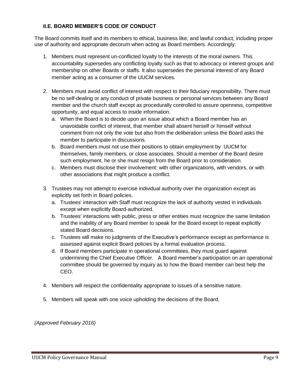## <span id="page-8-0"></span>**II.E. BOARD MEMBER'S CODE OF CONDUCT**

The Board commits itself and its members to ethical, business like, and lawful conduct, including proper use of authority and appropriate decorum when acting as Board members. Accordingly:

- 1. Members must represent un-conflicted loyalty to the interests of the moral owners. This accountability supersedes any conflicting loyalty such as that to advocacy or interest groups and membership on other Boards or staffs. It also supersedes the personal interest of any Board member acting as a consumer of the UUCM services.
- 2. Members must avoid conflict of interest with respect to their fiduciary responsibility. There must be no self-dealing or any conduct of private business or personal services between any Board member and the church staff except as procedurally controlled to assure openness, competitive opportunity, and equal access to inside information.
	- a. When the Board is to decide upon an issue about which a Board member has an unavoidable conflict of interest, that member shall absent herself or himself without comment from not only the vote but also from the deliberation unless the Board asks the member to participate in discussions.
	- b. Board members must not use their positions to obtain employment by UUCM for themselves, family members, or close associates. Should a member of the Board desire such employment, he or she must resign from the Board prior to consideration.
	- c. Members must disclose their involvement: with other organizations, with vendors, or with other associations that might produce a conflict.
- 3. Trustees may not attempt to exercise individual authority over the organization except as explicitly set forth in Board policies.
	- a. Trustees' interaction with Staff must recognize the lack of authority vested in individuals except when explicitly Board-authorized.
	- b. Trustees' interactions with public, press or other entities must recognize the same limitation and the inability of any Board member to speak for the Board except to repeat explicitly stated Board decisions.
	- c. Trustees will make no judgments of the Executive's performance except as performance is assessed against explicit Board policies by a formal evaluation process.
	- d. If Board members participate in operational committees, they must guard against undermining the Chief Executive Officer. A Board member's participation on an operational committee should be governed by inquiry as to how the Board member can best help the CEO.
- 4. Members will respect the confidentiality appropriate to issues of a sensitive nature.
- 5. Members will speak with one voice upholding the decisions of the Board.

*(Approved February 2016)*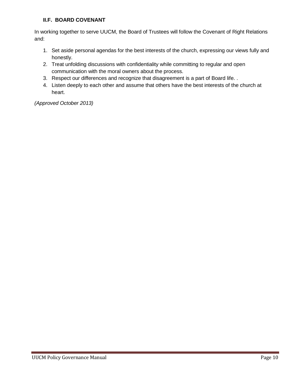## <span id="page-9-0"></span>**II.F. BOARD COVENANT**

In working together to serve UUCM, the Board of Trustees will follow the Covenant of Right Relations and:

- 1. Set aside personal agendas for the best interests of the church, expressing our views fully and honestly.
- 2. Treat unfolding discussions with confidentiality while committing to regular and open communication with the moral owners about the process.
- 3. Respect our differences and recognize that disagreement is a part of Board life. .
- 4. Listen deeply to each other and assume that others have the best interests of the church at heart.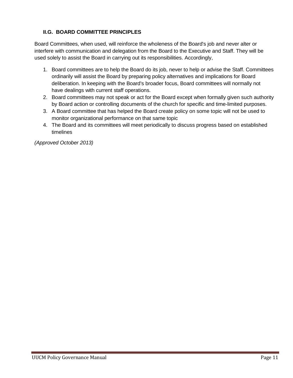## <span id="page-10-0"></span>**II.G. BOARD COMMITTEE PRINCIPLES**

Board Committees, when used, will reinforce the wholeness of the Board's job and never alter or interfere with communication and delegation from the Board to the Executive and Staff. They will be used solely to assist the Board in carrying out its responsibilities. Accordingly,

- 1. Board committees are to help the Board do its job, never to help or advise the Staff. Committees ordinarily will assist the Board by preparing policy alternatives and implications for Board deliberation. In keeping with the Board's broader focus, Board committees will normally not have dealings with current staff operations.
- 2. Board committees may not speak or act for the Board except when formally given such authority by Board action or controlling documents of the church for specific and time-limited purposes.
- 3. A Board committee that has helped the Board create policy on some topic will not be used to monitor organizational performance on that same topic
- 4. The Board and its committees will meet periodically to discuss progress based on established timelines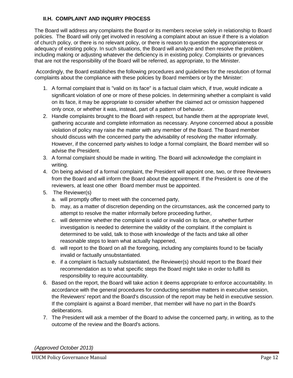## <span id="page-11-0"></span>**II.H. COMPLAINT AND INQUIRY PROCESS**

The Board will address any complaints the Board or its members receive solely in relationship to Board policies. The Board will only get involved in resolving a complaint about an issue if there is a violation of church policy, or there is no relevant policy, or there is reason to question the appropriateness or adequacy of existing policy. In such situations, the Board will analyze and then resolve the problem, including making or adjusting whatever the deficiency is in existing policy. Complaints or grievances that are not the responsibility of the Board will be referred, as appropriate, to the Minister.

Accordingly, the Board establishes the following procedures and guidelines for the resolution of formal complaints about the compliance with these policies by Board members or by the Minister:

- 1. A formal complaint that is "valid on its face" is a factual claim which, if true, would indicate a significant violation of one or more of these policies. In determining whether a complaint is valid on its face, it may be appropriate to consider whether the claimed act or omission happened only once, or whether it was, instead, part of a pattern of behavior.
- 2. Handle complaints brought to the Board with respect, but handle them at the appropriate level, gathering accurate and complete information as necessary. Anyone concerned about a possible violation of policy may raise the matter with any member of the Board. The Board member should discuss with the concerned party the advisability of resolving the matter informally. However, if the concerned party wishes to lodge a formal complaint, the Board member will so advise the President.
- 3. A formal complaint should be made in writing. The Board will acknowledge the complaint in writing.
- 4. On being advised of a formal complaint, the President will appoint one, two, or three Reviewers from the Board and will inform the Board about the appointment. If the President is one of the reviewers, at least one other Board member must be appointed.
- 5. The Reviewer(s)
	- a. will promptly offer to meet with the concerned party,
	- b. may, as a matter of discretion depending on the circumstances, ask the concerned party to attempt to resolve the matter informally before proceeding further,
	- c. will determine whether the complaint is valid or invalid on its face, or whether further investigation is needed to determine the validity of the complaint. If the complaint is determined to be valid, talk to those with knowledge of the facts and take all other reasonable steps to learn what actually happened,
	- d. will report to the Board on all the foregoing, including any complaints found to be facially invalid or factually unsubstantiated.
	- e. if a complaint is factually substantiated, the Reviewer(s) should report to the Board their recommendation as to what specific steps the Board might take in order to fulfill its responsibility to require accountability.
- 6. Based on the report, the Board will take action it deems appropriate to enforce accountability. In accordance with the general procedures for conducting sensitive matters in executive session, the Reviewers' report and the Board's discussion of the report may be held in executive session. If the complaint is against a Board member, that member will have no part in the Board's deliberations.
- 7. The President will ask a member of the Board to advise the concerned party, in writing, as to the outcome of the review and the Board's actions.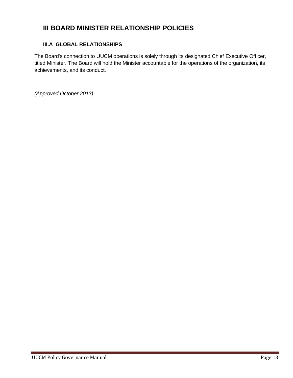# <span id="page-12-0"></span>**III BOARD MINISTER RELATIONSHIP POLICIES**

#### <span id="page-12-1"></span>**III.A GLOBAL RELATIONSHIPS**

The Board's connection to UUCM operations is solely through its designated Chief Executive Officer, titled Minister. The Board will hold the Minister accountable for the operations of the organization, its achievements, and its conduct.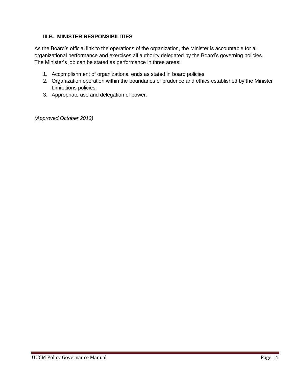# <span id="page-13-0"></span>**III.B. MINISTER RESPONSIBILITIES**

As the Board's official link to the operations of the organization, the Minister is accountable for all organizational performance and exercises all authority delegated by the Board's governing policies. The Minister's job can be stated as performance in three areas:

- 1. Accomplishment of organizational ends as stated in board policies
- 2. Organization operation within the boundaries of prudence and ethics established by the Minister Limitations policies.
- 3. Appropriate use and delegation of power.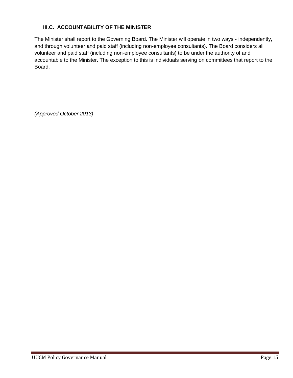# <span id="page-14-0"></span>**III.C. ACCOUNTABILITY OF THE MINISTER**

The Minister shall report to the Governing Board. The Minister will operate in two ways - independently, and through volunteer and paid staff (including non-employee consultants). The Board considers all volunteer and paid staff (including non-employee consultants) to be under the authority of and accountable to the Minister. The exception to this is individuals serving on committees that report to the Board.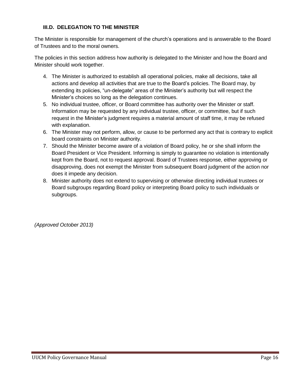## <span id="page-15-0"></span>**III.D. DELEGATION TO THE MINISTER**

The Minister is responsible for management of the church's operations and is answerable to the Board of Trustees and to the moral owners.

The policies in this section address how authority is delegated to the Minister and how the Board and Minister should work together.

- 4. The Minister is authorized to establish all operational policies, make all decisions, take all actions and develop all activities that are true to the Board's policies. The Board may, by extending its policies, "un-delegate" areas of the Minister's authority but will respect the Minister's choices so long as the delegation continues.
- 5. No individual trustee, officer, or Board committee has authority over the Minister or staff. Information may be requested by any individual trustee, officer, or committee, but if such request in the Minister's judgment requires a material amount of staff time, it may be refused with explanation.
- 6. The Minister may not perform, allow, or cause to be performed any act that is contrary to explicit board constraints on Minister authority.
- 7. Should the Minister become aware of a violation of Board policy, he or she shall inform the Board President or Vice President. Informing is simply to guarantee no violation is intentionally kept from the Board, not to request approval. Board of Trustees response, either approving or disapproving, does not exempt the Minister from subsequent Board judgment of the action nor does it impede any decision.
- 8. Minister authority does not extend to supervising or otherwise directing individual trustees or Board subgroups regarding Board policy or interpreting Board policy to such individuals or subgroups.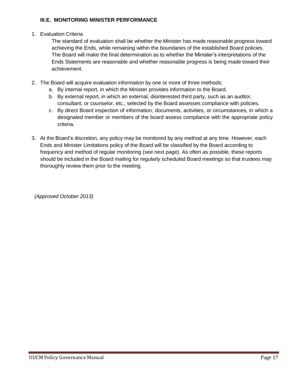#### <span id="page-16-0"></span>**III.E. MONITORING MINISTER PERFORMANCE**

#### 1. Evaluation Criteria

The standard of evaluation shall be whether the Minister has made reasonable progress toward achieving the Ends, while remaining within the boundaries of the established Board policies. The Board will make the final determination as to whether the Minister's interpretations of the Ends Statements are reasonable and whether reasonable progress is being made toward their achievement.

- 2. The Board will acquire evaluation information by one or more of three methods:
	- a. By internal report, in which the Minister provides information to the Board.
	- b. By external report, in which an external, disinterested third party, such as an auditor, consultant, or counselor, etc., selected by the Board assesses compliance with policies.
	- c. By direct Board inspection of information, documents, activities, or circumstances, in which a designated member or members of the board assess compliance with the appropriate policy criteria.
- 3. At the Board's discretion, any policy may be monitored by any method at any time. However, each Ends and Minister Limitations policy of the Board will be classified by the Board according to frequency and method of regular monitoring (see next page). As often as possible, these reports should be included in the Board mailing for regularly scheduled Board meetings so that trustees may thoroughly review them prior to the meeting.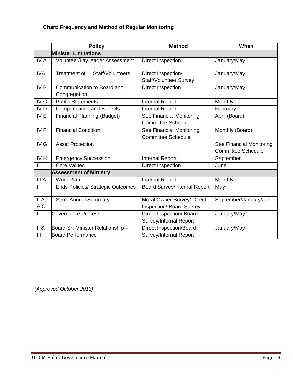# <span id="page-17-0"></span>**Chart: Frequency and Method of Regular Monitoring**

|                               | <b>Policy</b>                            | <b>Method</b>                       | When                      |  |  |  |
|-------------------------------|------------------------------------------|-------------------------------------|---------------------------|--|--|--|
|                               | <b>Minister Limitations</b>              |                                     |                           |  |  |  |
| IV A                          | Volunteer/Lay leader Assessment          | Direct Inspection                   | January/May               |  |  |  |
| <b>IVA</b>                    | <b>Treatment of</b><br>Staff/Volunteers  | Direct Inspection/                  | January/May               |  |  |  |
|                               |                                          | <b>Staff/Volunteer Survey</b>       |                           |  |  |  |
| IV <sub>B</sub>               | Communication to Board and               | Direct Inspection                   | January/May               |  |  |  |
|                               | Congregation                             |                                     |                           |  |  |  |
| IV <sub>C</sub>               | <b>Public Statements</b>                 | <b>Internal Report</b>              | Monthly                   |  |  |  |
| IV <sub>D</sub>               | <b>Compensation and Benefits</b>         | <b>Internal Report</b>              | February                  |  |  |  |
| IV E                          | <b>Financial Planning (Budget)</b>       | See Financial Monitoring            | April (Board)             |  |  |  |
|                               |                                          | <b>Committee Schedule</b>           |                           |  |  |  |
| IVF                           | <b>Financial Condition</b>               | See Financial Monitoring            | Monthly (Board)           |  |  |  |
|                               |                                          | <b>Committee Schedule</b>           |                           |  |  |  |
| IV G                          | <b>Asset Protection</b>                  |                                     | See Financial Monitoring  |  |  |  |
|                               |                                          |                                     | <b>Committee Schedule</b> |  |  |  |
| IV <sub>H</sub>               | <b>Emergency Succession</b>              | <b>Internal Report</b>              | September                 |  |  |  |
|                               | <b>Core Values</b>                       | <b>Direct Inspection</b>            | June                      |  |  |  |
| <b>Assessment of Ministry</b> |                                          |                                     |                           |  |  |  |
| III A                         | <b>Work Plan</b>                         | Internal Report                     | Monthly                   |  |  |  |
| I                             | <b>Ends Policies/ Strategic Outcomes</b> | <b>Board Survey/Internal Report</b> | May                       |  |  |  |
| II A                          | Semi-Annual Summary                      | Moral Owner Survey/ Direct          | September/January/June    |  |  |  |
| & C                           |                                          | Inspection/ Board Survey            |                           |  |  |  |
| $\mathbf{H}$                  | <b>Governance Process</b>                | Direct Inspection/ Board            | January/May               |  |  |  |
|                               |                                          | Survey/Internal Report              |                           |  |  |  |
| II &                          | Board-Sr. Minister Relationship -        | <b>Direct Inspection/Board</b>      | January/May               |  |  |  |
| $\mathbf{III}$                | <b>Board Performance</b>                 | Survey/Internal Report              |                           |  |  |  |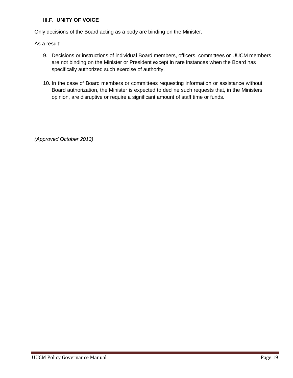# <span id="page-18-0"></span>**III.F. UNITY OF VOICE**

Only decisions of the Board acting as a body are binding on the Minister.

As a result:

- 9. Decisions or instructions of individual Board members, officers, committees or UUCM members are not binding on the Minister or President except in rare instances when the Board has specifically authorized such exercise of authority.
- 10. In the case of Board members or committees requesting information or assistance without Board authorization, the Minister is expected to decline such requests that, in the Ministers opinion, are disruptive or require a significant amount of staff time or funds.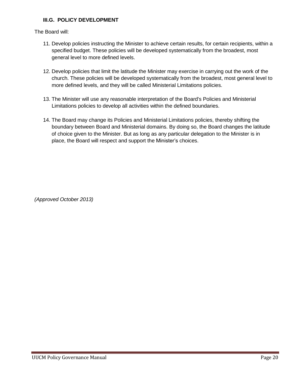#### <span id="page-19-0"></span>**III.G. POLICY DEVELOPMENT**

The Board will:

- 11. Develop policies instructing the Minister to achieve certain results, for certain recipients, within a specified budget. These policies will be developed systematically from the broadest, most general level to more defined levels.
- 12. Develop policies that limit the latitude the Minister may exercise in carrying out the work of the church. These policies will be developed systematically from the broadest, most general level to more defined levels, and they will be called Ministerial Limitations policies.
- 13. The Minister will use any reasonable interpretation of the Board's Policies and Ministerial Limitations policies to develop all activities within the defined boundaries.
- 14. The Board may change its Policies and Ministerial Limitations policies, thereby shifting the boundary between Board and Ministerial domains. By doing so, the Board changes the latitude of choice given to the Minister. But as long as any particular delegation to the Minister is in place, the Board will respect and support the Minister's choices.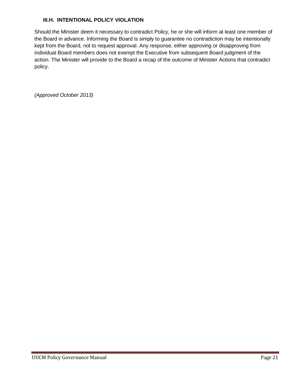#### <span id="page-20-0"></span>**III.H. INTENTIONAL POLICY VIOLATION**

Should the Minister deem it necessary to contradict Policy, he or she will inform at least one member of the Board in advance. Informing the Board is simply to guarantee no contradiction may be intentionally kept from the Board, not to request approval. Any response, either approving or disapproving from individual Board members does not exempt the Executive from subsequent Board judgment of the action. The Minister will provide to the Board a recap of the outcome of Minister Actions that contradict policy.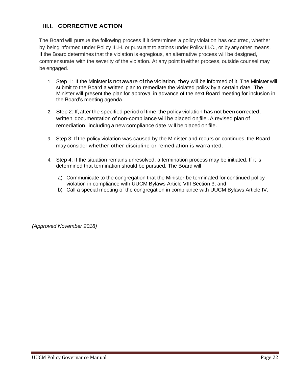# <span id="page-21-0"></span>**Ill.I. CORRECTIVE ACTION**

The Board will pursue the following process if it determines a policy violation has occurred, whether by being informed under Policy III.H. or pursuant to actions under Policy III.C., or by any other means. If the Board determines that the violation is egregious, an alternative process will be designed, commensurate with the severity of the violation. At any point in either process, outside counsel may be engaged.

- 1. Step 1: If the Minister is notaware of the violation, they will be informed of it. The Minister will submit to the Board a written plan to remediate the violated policy by a certain date. The Minister will present the plan for approval in advance of the next Board meeting for inclusion in the Board's meeting agenda..
- 2. Step 2: If, after the specified period of time, the policy violation has not been corrected, written documentation of non-compliance will be placed on file . A revised plan of remediation, including a new compliance date, will be placed on file.
- 3. Step 3: If the policy violation was caused by the Minister and recurs or continues, the Board may consider whether other discipline or remediation is warranted.
- 4. Step 4: If the situation remains unresolved, a termination process may be initiated. If it is determined that termination should be pursued, The Board will
	- a) Communicate to the congregation that the Minister be terminated for continued policy violation in compliance with UUCM Bylaws Article VIII Section 3; and
	- b) Call a special meeting of the congregation in compliance with UUCM Bylaws Article IV.

*(Approved November 2018)*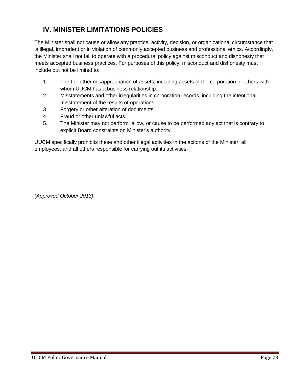# <span id="page-22-0"></span>**IV. MINISTER LIMITATIONS POLICIES**

The Minister shall not cause or allow any practice, activity, decision, or organizational circumstance that is illegal, imprudent or in violation of commonly accepted business and professional ethics. Accordingly, the Minister shall not fail to operate with a procedural policy against misconduct and dishonesty that meets accepted business practices. For purposes of this policy, misconduct and dishonesty must include but not be limited to:

- 1. Theft or other misappropriation of assets, including assets of the corporation or others with whom UUCM has a business relationship.
- 2. Misstatements and other irregularities in corporation records, including the intentional misstatement of the results of operations.
- 3. Forgery or other alteration of documents.
- 4. Fraud or other unlawful acts.
- 5. The Minister may not perform, allow, or cause to be performed any act that is contrary to explicit Board constraints on Minister's authority.

UUCM specifically prohibits these and other illegal activities in the actions of the Minister, all employees, and all others responsible for carrying out its activities.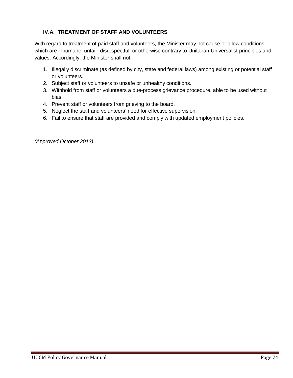# <span id="page-23-0"></span>**IV.A. TREATMENT OF STAFF AND VOLUNTEERS**

With regard to treatment of paid staff and volunteers, the Minister may not cause or allow conditions which are inhumane, unfair, disrespectful, or otherwise contrary to Unitarian Universalist principles and values. Accordingly, the Minister shall not:

- 1. Illegally discriminate (as defined by city, state and federal laws) among existing or potential staff or volunteers.
- 2. Subject staff or volunteers to unsafe or unhealthy conditions.
- 3. Withhold from staff or volunteers a due-process grievance procedure, able to be used without bias.
- 4. Prevent staff or volunteers from grieving to the board.
- 5. Neglect the staff and volunteers' need for effective supervision.
- 6. Fail to ensure that staff are provided and comply with updated employment policies.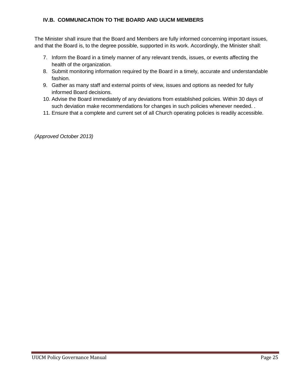#### <span id="page-24-0"></span>**IV.B. COMMUNICATION TO THE BOARD AND UUCM MEMBERS**

The Minister shall insure that the Board and Members are fully informed concerning important issues, and that the Board is, to the degree possible, supported in its work. Accordingly, the Minister shall:

- 7. Inform the Board in a timely manner of any relevant trends, issues, or events affecting the health of the organization.
- 8. Submit monitoring information required by the Board in a timely, accurate and understandable fashion.
- 9. Gather as many staff and external points of view, issues and options as needed for fully informed Board decisions.
- 10. Advise the Board immediately of any deviations from established policies. Within 30 days of such deviation make recommendations for changes in such policies whenever needed. .
- 11. Ensure that a complete and current set of all Church operating policies is readily accessible.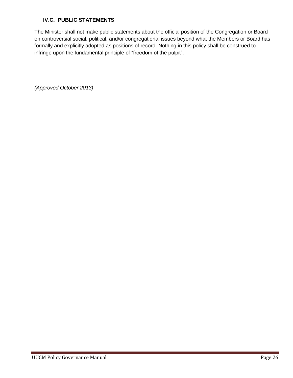# <span id="page-25-0"></span>**IV.C. PUBLIC STATEMENTS**

The Minister shall not make public statements about the official position of the Congregation or Board on controversial social, political, and/or congregational issues beyond what the Members or Board has formally and explicitly adopted as positions of record. Nothing in this policy shall be construed to infringe upon the fundamental principle of "freedom of the pulpit".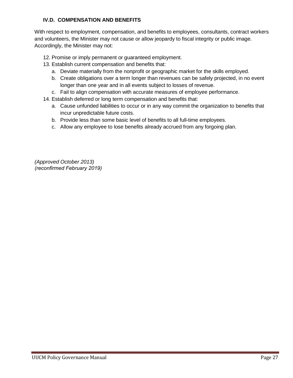# <span id="page-26-0"></span>**IV.D. COMPENSATION AND BENEFITS**

With respect to employment, compensation, and benefits to employees, consultants, contract workers and volunteers, the Minister may not cause or allow jeopardy to fiscal integrity or public image. Accordingly, the Minister may not:

- 12. Promise or imply permanent or guaranteed employment.
- 13. Establish current compensation and benefits that:
	- a. Deviate materially from the nonprofit or geographic market for the skills employed.
	- b. Create obligations over a term longer than revenues can be safely projected, in no event longer than one year and in all events subject to losses of revenue.
	- c. Fail to align compensation with accurate measures of employee performance.
- 14. Establish deferred or long term compensation and benefits that:
	- a. Cause unfunded liabilities to occur or in any way commit the organization to benefits that incur unpredictable future costs.
	- b. Provide less than some basic level of benefits to all full-time employees.
	- c. Allow any employee to lose benefits already accrued from any forgoing plan.

*(Approved October 2013) (reconfirmed February 2019)*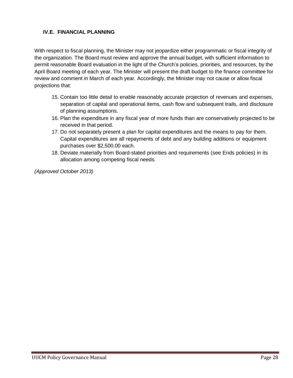# <span id="page-27-0"></span>**IV.E. FINANCIAL PLANNING**

With respect to fiscal planning, the Minister may not jeopardize either programmatic or fiscal integrity of the organization. The Board must review and approve the annual budget, with sufficient information to permit reasonable Board evaluation in the light of the Church's policies, priorities, and resources, by the April Board meeting of each year. The Minister will present the draft budget to the finance committee for review and comment in March of each year. Accordingly, the Minister may not cause or allow fiscal projections that:

- 15. Contain too little detail to enable reasonably accurate projection of revenues and expenses, separation of capital and operational items, cash flow and subsequent trails, and disclosure of planning assumptions.
- 16. Plan the expenditure in any fiscal year of more funds than are conservatively projected to be received in that period.
- 17. Do not separately present a plan for capital expenditures and the means to pay for them. Capital expenditures are all repayments of debt and any building additions or equipment purchases over \$2,500.00 each.
- 18. Deviate materially from Board-stated priorities and requirements (see Ends policies) in its allocation among competing fiscal needs.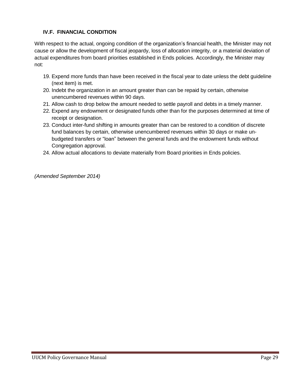# <span id="page-28-0"></span>**IV.F. FINANCIAL CONDITION**

With respect to the actual, ongoing condition of the organization's financial health, the Minister may not cause or allow the development of fiscal jeopardy, loss of allocation integrity, or a material deviation of actual expenditures from board priorities established in Ends policies. Accordingly, the Minister may not:

- 19. Expend more funds than have been received in the fiscal year to date unless the debt guideline (next item) is met.
- 20. Indebt the organization in an amount greater than can be repaid by certain, otherwise unencumbered revenues within 90 days.
- 21. Allow cash to drop below the amount needed to settle payroll and debts in a timely manner.
- 22. Expend any endowment or designated funds other than for the purposes determined at time of receipt or designation.
- 23. Conduct inter-fund shifting in amounts greater than can be restored to a condition of discrete fund balances by certain, otherwise unencumbered revenues within 30 days or make unbudgeted transfers or "loan" between the general funds and the endowment funds without Congregation approval.
- 24. Allow actual allocations to deviate materially from Board priorities in Ends policies.

*(Amended September 2014)*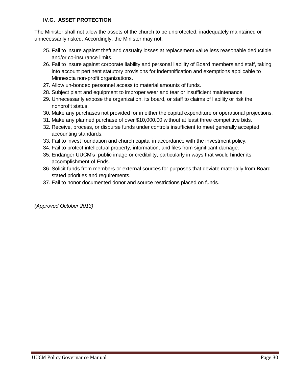#### <span id="page-29-0"></span>**IV.G. ASSET PROTECTION**

The Minister shall not allow the assets of the church to be unprotected, inadequately maintained or unnecessarily risked. Accordingly, the Minister may not:

- 25. Fail to insure against theft and casualty losses at replacement value less reasonable deductible and/or co-insurance limits.
- 26. Fail to insure against corporate liability and personal liability of Board members and staff, taking into account pertinent statutory provisions for indemnification and exemptions applicable to Minnesota non-profit organizations.
- 27. Allow un-bonded personnel access to material amounts of funds.
- 28. Subject plant and equipment to improper wear and tear or insufficient maintenance.
- 29. Unnecessarily expose the organization, its board, or staff to claims of liability or risk the nonprofit status.
- 30. Make any purchases not provided for in either the capital expenditure or operational projections.
- 31. Make any planned purchase of over \$10,000.00 without at least three competitive bids.
- 32. Receive, process, or disburse funds under controls insufficient to meet generally accepted accounting standards.
- 33. Fail to invest foundation and church capital in accordance with the investment policy.
- 34. Fail to protect intellectual property, information, and files from significant damage.
- 35. Endanger UUCM's public image or credibility, particularly in ways that would hinder its accomplishment of Ends.
- 36. Solicit funds from members or external sources for purposes that deviate materially from Board stated priorities and requirements.
- 37. Fail to honor documented donor and source restrictions placed on funds.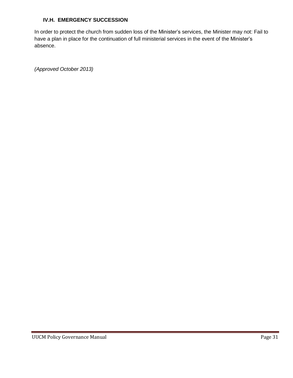#### <span id="page-30-0"></span>**IV.H. EMERGENCY SUCCESSION**

In order to protect the church from sudden loss of the Minister's services, the Minister may not: Fail to have a plan in place for the continuation of full ministerial services in the event of the Minister's absence.